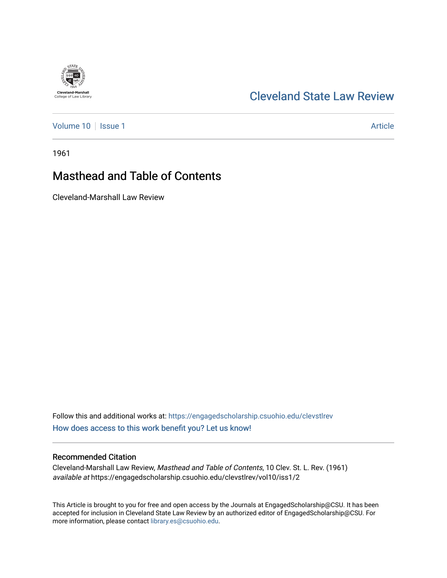## [Cleveland State Law Review](https://engagedscholarship.csuohio.edu/clevstlrev)

[Volume 10](https://engagedscholarship.csuohio.edu/clevstlrev/vol10) | [Issue 1](https://engagedscholarship.csuohio.edu/clevstlrev/vol10/iss1) Article

**Cleveland-Marshall**<br>College of Law Library

1961

# Masthead and Table of Contents

Cleveland-Marshall Law Review

Follow this and additional works at: [https://engagedscholarship.csuohio.edu/clevstlrev](https://engagedscholarship.csuohio.edu/clevstlrev?utm_source=engagedscholarship.csuohio.edu%2Fclevstlrev%2Fvol10%2Fiss1%2F2&utm_medium=PDF&utm_campaign=PDFCoverPages) [How does access to this work benefit you? Let us know!](http://library.csuohio.edu/engaged/)

### Recommended Citation

Cleveland-Marshall Law Review, Masthead and Table of Contents, 10 Clev. St. L. Rev. (1961) available at https://engagedscholarship.csuohio.edu/clevstlrev/vol10/iss1/2

This Article is brought to you for free and open access by the Journals at EngagedScholarship@CSU. It has been accepted for inclusion in Cleveland State Law Review by an authorized editor of EngagedScholarship@CSU. For more information, please contact [library.es@csuohio.edu](mailto:library.es@csuohio.edu).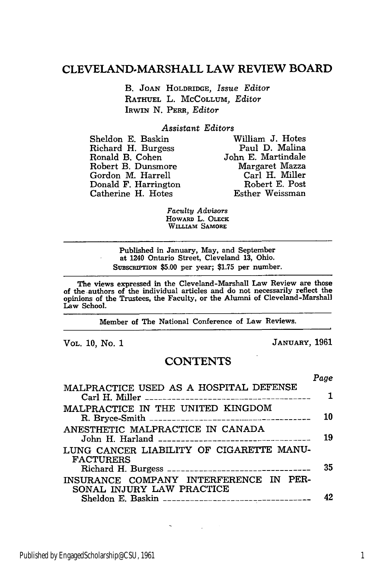### **CLEVELAND-MARSHALL** LAW REVIEW BOARD

B. **JOAN** HOLDRIDGE, *Issue Editor* RATHUEL L. MCCOLLUM, *Editor* IRWIN N. PERA, *Editor*

#### *Assistant Editors*

Sheldon E. Baskin William J. Hotes Richard H. Burgess<br>Ronald B. Cohen Robert B. Dunsmore Margaret Mazza Gordon M. Harrell Carl H. Miller Donald F. Harrington Robert E. Post Catherine H. Hotes

John E. Martindale<br>Margaret Mazza

*Faculty Advisors* HOWARD L. OLECK WILLIAM SAMORE

Published in January, May, and September at 1240 Ontario Street, Cleveland **13,** Ohio. SUBSCRnIPTION **\$5.00** per year; **\$1.75** per number.

The views expressed in the Cleveland-Marshall Law Review are those of the .authors of the individual articles and do not necessarily reflect the **opinions** of the Trustees, the Faculty, or the Alumni of Cleveland-Marshall Law School.

Member of The National Conference of Law Reviews.

VOL. 10, No. 1 **JANUARY,** 1961

#### **CONTENTS**

*Page*

| MALPRACTICE USED AS A HOSPITAL DEFENSE                              |    |
|---------------------------------------------------------------------|----|
| MALPRACTICE IN THE UNITED KINGDOM                                   | 10 |
| ANESTHETIC MALPRACTICE IN CANADA                                    | 19 |
| LUNG CANCER LIABILITY OF CIGARETTE MANU-<br><b>FACTURERS</b>        | 35 |
| INSURANCE COMPANY INTERFERENCE IN PER-<br>SONAL INJURY LAW PRACTICE | 42 |